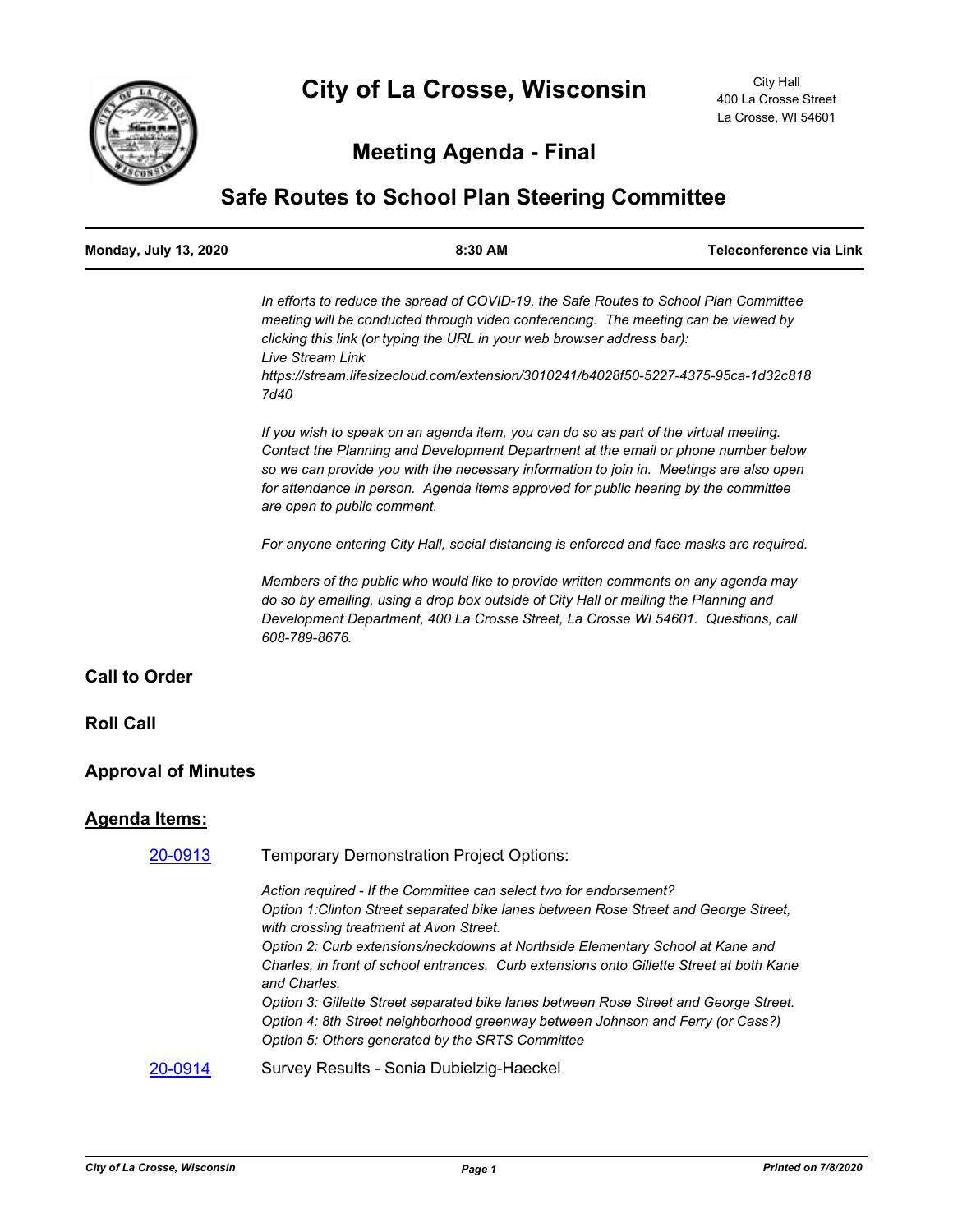

# **Meeting Agenda - Final**

# **Safe Routes to School Plan Steering Committee**

| <b>Monday, July 13, 2020</b> | $8:30$ AM | Teleconference via Link |
|------------------------------|-----------|-------------------------|
|                              |           |                         |

*In efforts to reduce the spread of COVID-19, the Safe Routes to School Plan Committee meeting will be conducted through video conferencing. The meeting can be viewed by clicking this link (or typing the URL in your web browser address bar): Live Stream Link https://stream.lifesizecloud.com/extension/3010241/b4028f50-5227-4375-95ca-1d32c818*

*7d40*

*If you wish to speak on an agenda item, you can do so as part of the virtual meeting. Contact the Planning and Development Department at the email or phone number below so we can provide you with the necessary information to join in. Meetings are also open for attendance in person. Agenda items approved for public hearing by the committee are open to public comment.*

*For anyone entering City Hall, social distancing is enforced and face masks are required.*

*Members of the public who would like to provide written comments on any agenda may do so by emailing, using a drop box outside of City Hall or mailing the Planning and Development Department, 400 La Crosse Street, La Crosse WI 54601. Questions, call 608-789-8676.*

# **Call to Order**

### **Roll Call**

# **Approval of Minutes**

### **Agenda Items:**

| 20-0913 | <b>Temporary Demonstration Project Options:</b>                                                                                                                                                                                                                                                                                                                                                     |
|---------|-----------------------------------------------------------------------------------------------------------------------------------------------------------------------------------------------------------------------------------------------------------------------------------------------------------------------------------------------------------------------------------------------------|
|         | Action required - If the Committee can select two for endorsement?<br>Option 1: Clinton Street separated bike lanes between Rose Street and George Street.<br>with crossing treatment at Avon Street.<br>Option 2: Curb extensions/neckdowns at Northside Elementary School at Kane and<br>Charles, in front of school entrances. Curb extensions onto Gillette Street at both Kane<br>and Charles. |
|         | Option 3: Gillette Street separated bike lanes between Rose Street and George Street.<br>Option 4: 8th Street neighborhood greenway between Johnson and Ferry (or Cass?)<br>Option 5: Others generated by the SRTS Committee                                                                                                                                                                        |
| 20-0914 | Survey Results - Sonia Dubielzig-Haeckel                                                                                                                                                                                                                                                                                                                                                            |